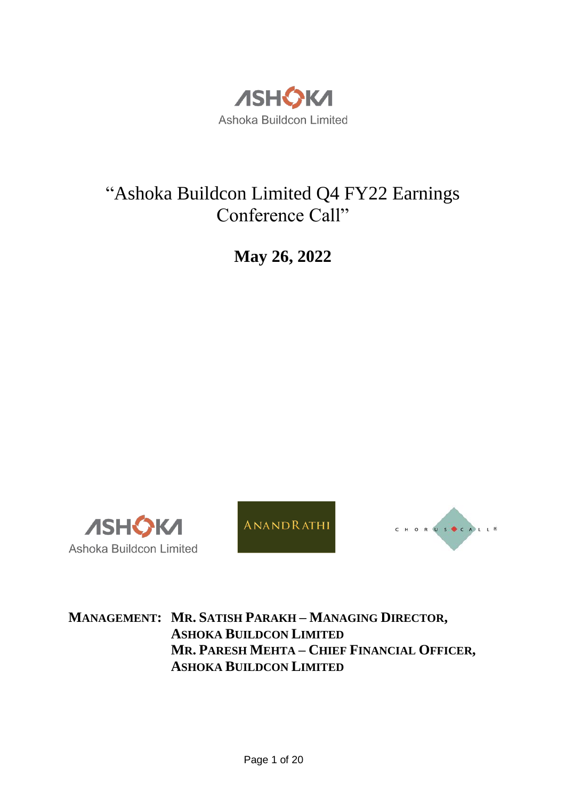

# "Ashoka Buildcon Limited Q4 FY22 Earnings Conference Call"

**May 26, 2022**







**MANAGEMENT: MR. SATISH PARAKH – MANAGING DIRECTOR, ASHOKA BUILDCON LIMITED MR. PARESH MEHTA – CHIEF FINANCIAL OFFICER, ASHOKA BUILDCON LIMITED**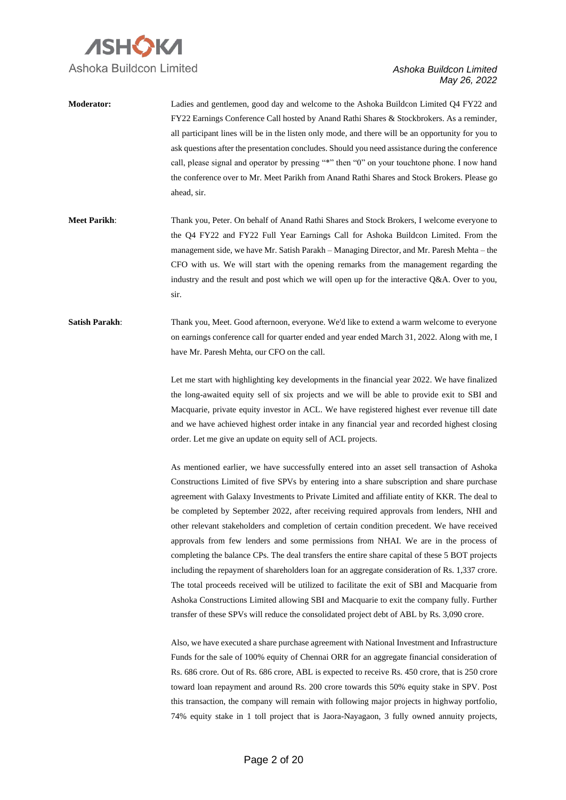

**Moderator:** Ladies and gentlemen, good day and welcome to the Ashoka Buildcon Limited Q4 FY22 and FY22 Earnings Conference Call hosted by Anand Rathi Shares & Stockbrokers. As a reminder, all participant lines will be in the listen only mode, and there will be an opportunity for you to ask questions after the presentation concludes. Should you need assistance during the conference call, please signal and operator by pressing "\*" then "0" on your touchtone phone. I now hand the conference over to Mr. Meet Parikh from Anand Rathi Shares and Stock Brokers. Please go ahead, sir.

**Meet Parikh**: Thank you, Peter. On behalf of Anand Rathi Shares and Stock Brokers, I welcome everyone to the Q4 FY22 and FY22 Full Year Earnings Call for Ashoka Buildcon Limited. From the management side, we have Mr. Satish Parakh – Managing Director, and Mr. Paresh Mehta – the CFO with us. We will start with the opening remarks from the management regarding the industry and the result and post which we will open up for the interactive Q&A. Over to you, sir.

**Satish Parakh:** Thank you, Meet. Good afternoon, everyone. We'd like to extend a warm welcome to everyone on earnings conference call for quarter ended and year ended March 31, 2022. Along with me, I have Mr. Paresh Mehta, our CFO on the call.

> Let me start with highlighting key developments in the financial year 2022. We have finalized the long-awaited equity sell of six projects and we will be able to provide exit to SBI and Macquarie, private equity investor in ACL. We have registered highest ever revenue till date and we have achieved highest order intake in any financial year and recorded highest closing order. Let me give an update on equity sell of ACL projects.

> As mentioned earlier, we have successfully entered into an asset sell transaction of Ashoka Constructions Limited of five SPVs by entering into a share subscription and share purchase agreement with Galaxy Investments to Private Limited and affiliate entity of KKR. The deal to be completed by September 2022, after receiving required approvals from lenders, NHI and other relevant stakeholders and completion of certain condition precedent. We have received approvals from few lenders and some permissions from NHAI. We are in the process of completing the balance CPs. The deal transfers the entire share capital of these 5 BOT projects including the repayment of shareholders loan for an aggregate consideration of Rs. 1,337 crore. The total proceeds received will be utilized to facilitate the exit of SBI and Macquarie from Ashoka Constructions Limited allowing SBI and Macquarie to exit the company fully. Further transfer of these SPVs will reduce the consolidated project debt of ABL by Rs. 3,090 crore.

> Also, we have executed a share purchase agreement with National Investment and Infrastructure Funds for the sale of 100% equity of Chennai ORR for an aggregate financial consideration of Rs. 686 crore. Out of Rs. 686 crore, ABL is expected to receive Rs. 450 crore, that is 250 crore toward loan repayment and around Rs. 200 crore towards this 50% equity stake in SPV. Post this transaction, the company will remain with following major projects in highway portfolio, 74% equity stake in 1 toll project that is Jaora-Nayagaon, 3 fully owned annuity projects,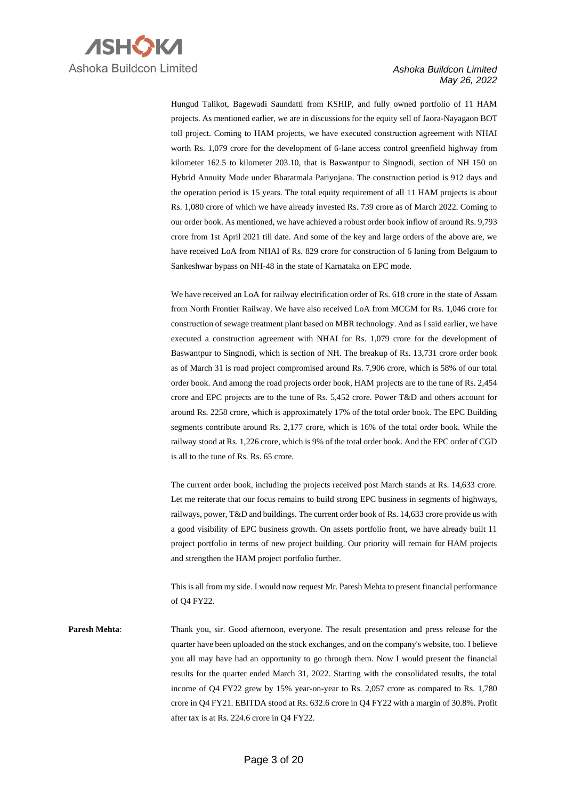

Hungud Talikot, Bagewadi Saundatti from KSHIP, and fully owned portfolio of 11 HAM projects. As mentioned earlier, we are in discussions for the equity sell of Jaora-Nayagaon BOT toll project. Coming to HAM projects, we have executed construction agreement with NHAI worth Rs. 1,079 crore for the development of 6-lane access control greenfield highway from kilometer 162.5 to kilometer 203.10, that is Baswantpur to Singnodi, section of NH 150 on Hybrid Annuity Mode under Bharatmala Pariyojana. The construction period is 912 days and the operation period is 15 years. The total equity requirement of all 11 HAM projects is about Rs. 1,080 crore of which we have already invested Rs. 739 crore as of March 2022. Coming to our order book. As mentioned, we have achieved a robust order book inflow of around Rs. 9,793 crore from 1st April 2021 till date. And some of the key and large orders of the above are, we have received LoA from NHAI of Rs. 829 crore for construction of 6 laning from Belgaum to Sankeshwar bypass on NH-48 in the state of Karnataka on EPC mode.

We have received an LoA for railway electrification order of Rs. 618 crore in the state of Assam from North Frontier Railway. We have also received LoA from MCGM for Rs. 1,046 crore for construction of sewage treatment plant based on MBR technology. And as I said earlier, we have executed a construction agreement with NHAI for Rs. 1,079 crore for the development of Baswantpur to Singnodi, which is section of NH. The breakup of Rs. 13,731 crore order book as of March 31 is road project compromised around Rs. 7,906 crore, which is 58% of our total order book. And among the road projects order book, HAM projects are to the tune of Rs. 2,454 crore and EPC projects are to the tune of Rs. 5,452 crore. Power T&D and others account for around Rs. 2258 crore, which is approximately 17% of the total order book. The EPC Building segments contribute around Rs. 2,177 crore, which is 16% of the total order book. While the railway stood at Rs. 1,226 crore, which is 9% of the total order book. And the EPC order of CGD is all to the tune of Rs. Rs. 65 crore.

The current order book, including the projects received post March stands at Rs. 14,633 crore. Let me reiterate that our focus remains to build strong EPC business in segments of highways, railways, power, T&D and buildings. The current order book of Rs. 14,633 crore provide us with a good visibility of EPC business growth. On assets portfolio front, we have already built 11 project portfolio in terms of new project building. Our priority will remain for HAM projects and strengthen the HAM project portfolio further.

This is all from my side. I would now request Mr. Paresh Mehta to present financial performance of Q4 FY22.

**Paresh Mehta**: Thank you, sir. Good afternoon, everyone. The result presentation and press release for the quarter have been uploaded on the stock exchanges, and on the company's website, too. I believe you all may have had an opportunity to go through them. Now I would present the financial results for the quarter ended March 31, 2022. Starting with the consolidated results, the total income of Q4 FY22 grew by 15% year-on-year to Rs. 2,057 crore as compared to Rs. 1,780 crore in Q4 FY21. EBITDA stood at Rs. 632.6 crore in Q4 FY22 with a margin of 30.8%. Profit after tax is at Rs. 224.6 crore in Q4 FY22.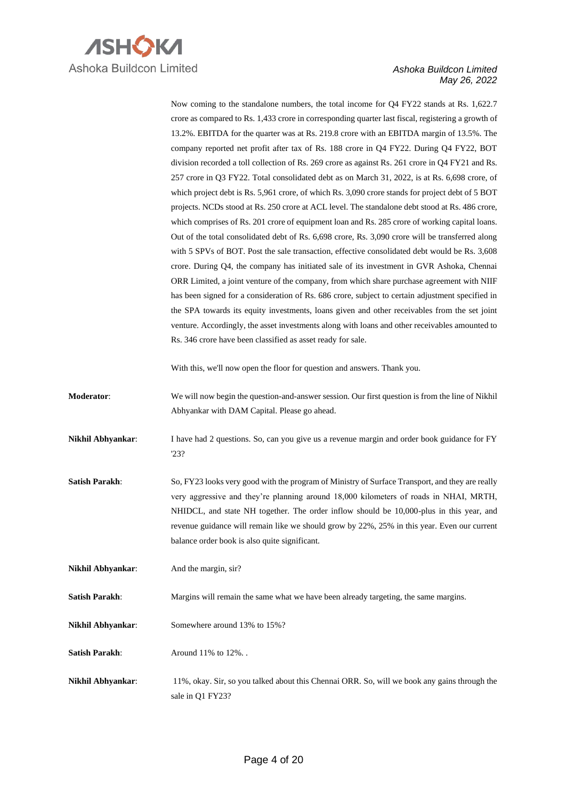

Now coming to the standalone numbers, the total income for Q4 FY22 stands at Rs. 1,622.7 crore as compared to Rs. 1,433 crore in corresponding quarter last fiscal, registering a growth of 13.2%. EBITDA for the quarter was at Rs. 219.8 crore with an EBITDA margin of 13.5%. The company reported net profit after tax of Rs. 188 crore in Q4 FY22. During Q4 FY22, BOT division recorded a toll collection of Rs. 269 crore as against Rs. 261 crore in Q4 FY21 and Rs. 257 crore in Q3 FY22. Total consolidated debt as on March 31, 2022, is at Rs. 6,698 crore, of which project debt is Rs. 5,961 crore, of which Rs. 3,090 crore stands for project debt of 5 BOT projects. NCDs stood at Rs. 250 crore at ACL level. The standalone debt stood at Rs. 486 crore, which comprises of Rs. 201 crore of equipment loan and Rs. 285 crore of working capital loans. Out of the total consolidated debt of Rs. 6,698 crore, Rs. 3,090 crore will be transferred along with 5 SPVs of BOT. Post the sale transaction, effective consolidated debt would be Rs. 3,608 crore. During Q4, the company has initiated sale of its investment in GVR Ashoka, Chennai ORR Limited, a joint venture of the company, from which share purchase agreement with NIIF has been signed for a consideration of Rs. 686 crore, subject to certain adjustment specified in the SPA towards its equity investments, loans given and other receivables from the set joint venture. Accordingly, the asset investments along with loans and other receivables amounted to Rs. 346 crore have been classified as asset ready for sale.

With this, we'll now open the floor for question and answers. Thank you.

- **Moderator**: We will now begin the question-and-answer session. Our first question is from the line of Nikhil Abhyankar with DAM Capital. Please go ahead.
- **Nikhil Abhyankar:** I have had 2 questions. So, can you give us a revenue margin and order book guidance for FY '23?
- **Satish Parakh**: So, FY23 looks very good with the program of Ministry of Surface Transport, and they are really very aggressive and they're planning around 18,000 kilometers of roads in NHAI, MRTH, NHIDCL, and state NH together. The order inflow should be 10,000-plus in this year, and revenue guidance will remain like we should grow by 22%, 25% in this year. Even our current balance order book is also quite significant.

**Nikhil Abhyankar**: And the margin, sir?

**Satish Parakh:** Margins will remain the same what we have been already targeting, the same margins.

**Nikhil Abhyankar:** Somewhere around 13% to 15%?

**Satish Parakh:** Around 11% to 12%.

**Nikhil Abhyankar**: 11%, okay. Sir, so you talked about this Chennai ORR. So, will we book any gains through the sale in Q1 FY23?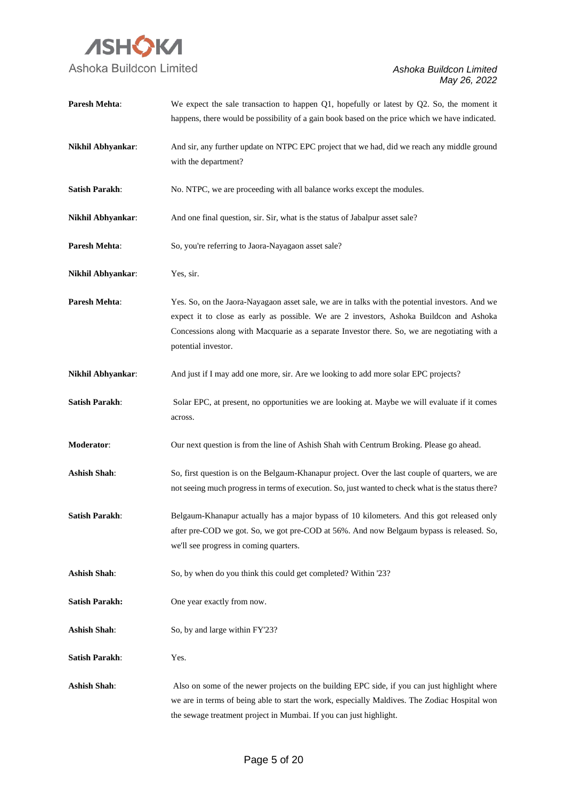

| Paresh Mehta:            | We expect the sale transaction to happen $Q1$ , hopefully or latest by $Q2$ . So, the moment it<br>happens, there would be possibility of a gain book based on the price which we have indicated.                                                                                                                 |
|--------------------------|-------------------------------------------------------------------------------------------------------------------------------------------------------------------------------------------------------------------------------------------------------------------------------------------------------------------|
| <b>Nikhil Abhyankar:</b> | And sir, any further update on NTPC EPC project that we had, did we reach any middle ground<br>with the department?                                                                                                                                                                                               |
| <b>Satish Parakh:</b>    | No. NTPC, we are proceeding with all balance works except the modules.                                                                                                                                                                                                                                            |
| Nikhil Abhyankar:        | And one final question, sir. Sir, what is the status of Jabalpur asset sale?                                                                                                                                                                                                                                      |
| Paresh Mehta:            | So, you're referring to Jaora-Nayagaon asset sale?                                                                                                                                                                                                                                                                |
| Nikhil Abhyankar:        | Yes, sir.                                                                                                                                                                                                                                                                                                         |
| Paresh Mehta:            | Yes. So, on the Jaora-Nayagaon asset sale, we are in talks with the potential investors. And we<br>expect it to close as early as possible. We are 2 investors, Ashoka Buildcon and Ashoka<br>Concessions along with Macquarie as a separate Investor there. So, we are negotiating with a<br>potential investor. |
| Nikhil Abhyankar:        | And just if I may add one more, sir. Are we looking to add more solar EPC projects?                                                                                                                                                                                                                               |
| <b>Satish Parakh:</b>    | Solar EPC, at present, no opportunities we are looking at. Maybe we will evaluate if it comes<br>across.                                                                                                                                                                                                          |
| Moderator:               | Our next question is from the line of Ashish Shah with Centrum Broking. Please go ahead.                                                                                                                                                                                                                          |
| <b>Ashish Shah:</b>      | So, first question is on the Belgaum-Khanapur project. Over the last couple of quarters, we are<br>not seeing much progress in terms of execution. So, just wanted to check what is the status there?                                                                                                             |
| <b>Satish Parakh:</b>    | Belgaum-Khanapur actually has a major bypass of 10 kilometers. And this got released only<br>after pre-COD we got. So, we got pre-COD at 56%. And now Belgaum bypass is released. So,<br>we'll see progress in coming quarters.                                                                                   |
| <b>Ashish Shah:</b>      | So, by when do you think this could get completed? Within '23?                                                                                                                                                                                                                                                    |
| <b>Satish Parakh:</b>    | One year exactly from now.                                                                                                                                                                                                                                                                                        |
| <b>Ashish Shah:</b>      | So, by and large within FY'23?                                                                                                                                                                                                                                                                                    |
| <b>Satish Parakh:</b>    | Yes.                                                                                                                                                                                                                                                                                                              |
| <b>Ashish Shah:</b>      | Also on some of the newer projects on the building EPC side, if you can just highlight where<br>we are in terms of being able to start the work, especially Maldives. The Zodiac Hospital won<br>the sewage treatment project in Mumbai. If you can just highlight.                                               |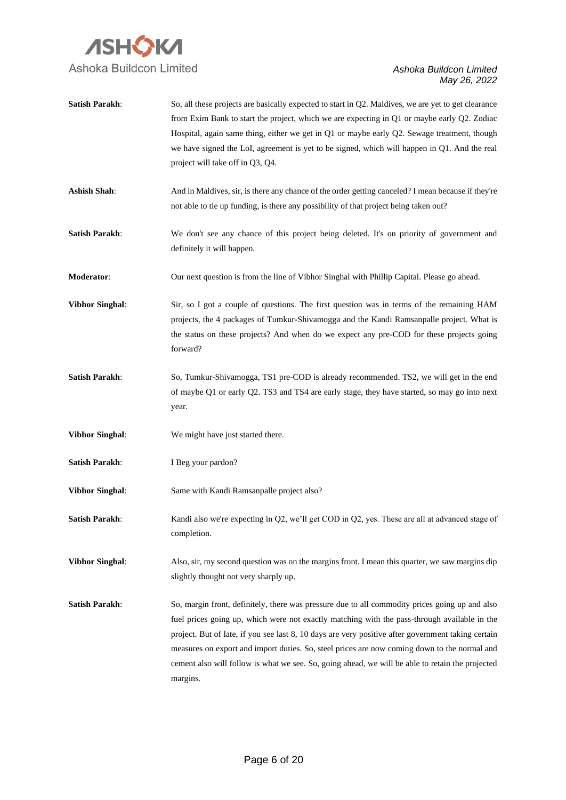

| <b>Satish Parakh:</b>  | So, all these projects are basically expected to start in Q2. Maldives, we are yet to get clearance<br>from Exim Bank to start the project, which we are expecting in Q1 or maybe early Q2. Zodiac<br>Hospital, again same thing, either we get in Q1 or maybe early Q2. Sewage treatment, though<br>we have signed the LoI, agreement is yet to be signed, which will happen in Q1. And the real<br>project will take off in Q3, Q4.                                                                                |
|------------------------|----------------------------------------------------------------------------------------------------------------------------------------------------------------------------------------------------------------------------------------------------------------------------------------------------------------------------------------------------------------------------------------------------------------------------------------------------------------------------------------------------------------------|
| <b>Ashish Shah:</b>    | And in Maldives, sir, is there any chance of the order getting canceled? I mean because if they're<br>not able to tie up funding, is there any possibility of that project being taken out?                                                                                                                                                                                                                                                                                                                          |
| <b>Satish Parakh:</b>  | We don't see any chance of this project being deleted. It's on priority of government and<br>definitely it will happen.                                                                                                                                                                                                                                                                                                                                                                                              |
| Moderator:             | Our next question is from the line of Vibhor Singhal with Phillip Capital. Please go ahead.                                                                                                                                                                                                                                                                                                                                                                                                                          |
| <b>Vibhor Singhal:</b> | Sir, so I got a couple of questions. The first question was in terms of the remaining HAM<br>projects, the 4 packages of Tumkur-Shivamogga and the Kandi Ramsanpalle project. What is<br>the status on these projects? And when do we expect any pre-COD for these projects going<br>forward?                                                                                                                                                                                                                        |
| <b>Satish Parakh:</b>  | So, Tumkur-Shivamogga, TS1 pre-COD is already recommended. TS2, we will get in the end<br>of maybe Q1 or early Q2. TS3 and TS4 are early stage, they have started, so may go into next<br>year.                                                                                                                                                                                                                                                                                                                      |
| <b>Vibhor Singhal:</b> | We might have just started there.                                                                                                                                                                                                                                                                                                                                                                                                                                                                                    |
| <b>Satish Parakh:</b>  | I Beg your pardon?                                                                                                                                                                                                                                                                                                                                                                                                                                                                                                   |
| <b>Vibhor Singhal:</b> | Same with Kandi Ramsanpalle project also?                                                                                                                                                                                                                                                                                                                                                                                                                                                                            |
| <b>Satish Parakh:</b>  | Kandi also we're expecting in Q2, we'll get COD in Q2, yes. These are all at advanced stage of<br>completion.                                                                                                                                                                                                                                                                                                                                                                                                        |
| <b>Vibhor Singhal:</b> | Also, sir, my second question was on the margins front. I mean this quarter, we saw margins dip<br>slightly thought not very sharply up.                                                                                                                                                                                                                                                                                                                                                                             |
| <b>Satish Parakh:</b>  | So, margin front, definitely, there was pressure due to all commodity prices going up and also<br>fuel prices going up, which were not exactly matching with the pass-through available in the<br>project. But of late, if you see last 8, 10 days are very positive after government taking certain<br>measures on export and import duties. So, steel prices are now coming down to the normal and<br>cement also will follow is what we see. So, going ahead, we will be able to retain the projected<br>margins. |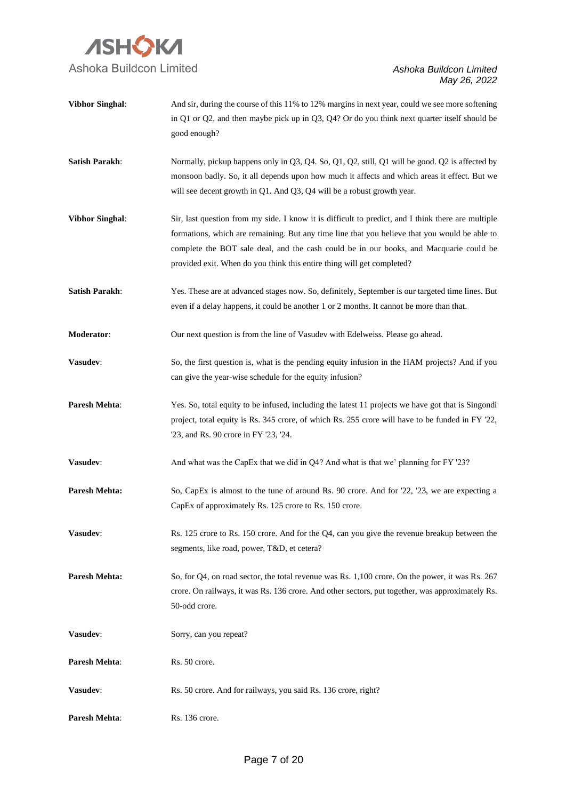

| <b>Vibhor Singhal:</b> | And sir, during the course of this 11% to 12% margins in next year, could we see more softening<br>in Q1 or Q2, and then maybe pick up in Q3, Q4? Or do you think next quarter itself should be<br>good enough?                                                                                                                                                         |
|------------------------|-------------------------------------------------------------------------------------------------------------------------------------------------------------------------------------------------------------------------------------------------------------------------------------------------------------------------------------------------------------------------|
| <b>Satish Parakh:</b>  | Normally, pickup happens only in Q3, Q4. So, Q1, Q2, still, Q1 will be good. Q2 is affected by<br>monsoon badly. So, it all depends upon how much it affects and which areas it effect. But we<br>will see decent growth in Q1. And Q3, Q4 will be a robust growth year.                                                                                                |
| <b>Vibhor Singhal:</b> | Sir, last question from my side. I know it is difficult to predict, and I think there are multiple<br>formations, which are remaining. But any time line that you believe that you would be able to<br>complete the BOT sale deal, and the cash could be in our books, and Macquarie could be<br>provided exit. When do you think this entire thing will get completed? |
| <b>Satish Parakh:</b>  | Yes. These are at advanced stages now. So, definitely, September is our targeted time lines. But<br>even if a delay happens, it could be another 1 or 2 months. It cannot be more than that.                                                                                                                                                                            |
| Moderator:             | Our next question is from the line of Vasudev with Edelweiss. Please go ahead.                                                                                                                                                                                                                                                                                          |
| Vasudev:               | So, the first question is, what is the pending equity infusion in the HAM projects? And if you<br>can give the year-wise schedule for the equity infusion?                                                                                                                                                                                                              |
| Paresh Mehta:          | Yes. So, total equity to be infused, including the latest 11 projects we have got that is Singondi<br>project, total equity is Rs. 345 crore, of which Rs. 255 crore will have to be funded in FY '22,<br>'23, and Rs. 90 crore in FY '23, '24.                                                                                                                         |
| Vasudev:               | And what was the CapEx that we did in Q4? And what is that we' planning for FY '23?                                                                                                                                                                                                                                                                                     |
| Paresh Mehta:          | So, CapEx is almost to the tune of around Rs. 90 crore. And for '22, '23, we are expecting a<br>CapEx of approximately Rs. 125 crore to Rs. 150 crore.                                                                                                                                                                                                                  |
| Vasudev:               | Rs. 125 crore to Rs. 150 crore. And for the Q4, can you give the revenue breakup between the<br>segments, like road, power, T&D, et cetera?                                                                                                                                                                                                                             |
| <b>Paresh Mehta:</b>   | So, for Q4, on road sector, the total revenue was Rs. 1,100 crore. On the power, it was Rs. 267<br>crore. On railways, it was Rs. 136 crore. And other sectors, put together, was approximately Rs.<br>50-odd crore.                                                                                                                                                    |
| Vasudev:               | Sorry, can you repeat?                                                                                                                                                                                                                                                                                                                                                  |
| Paresh Mehta:          | Rs. 50 crore.                                                                                                                                                                                                                                                                                                                                                           |
| Vasudev:               | Rs. 50 crore. And for railways, you said Rs. 136 crore, right?                                                                                                                                                                                                                                                                                                          |
| Paresh Mehta:          | Rs. 136 crore.                                                                                                                                                                                                                                                                                                                                                          |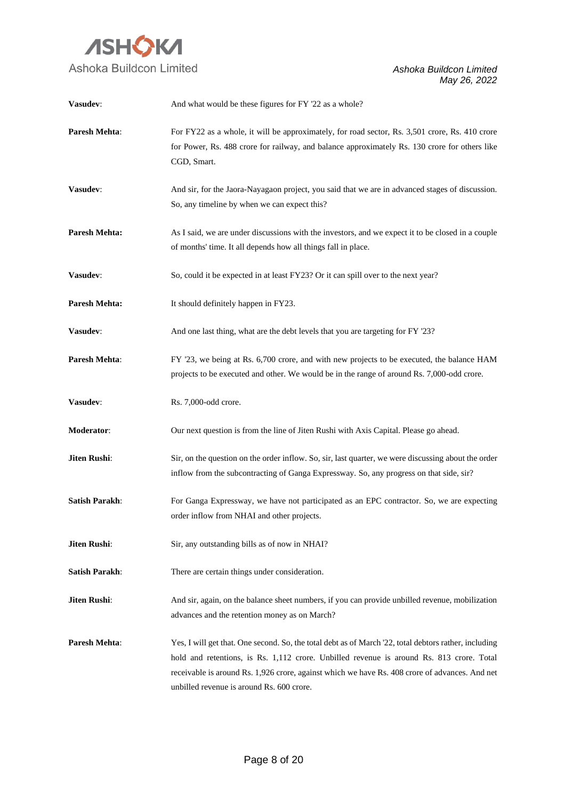

| Vasudev:              | And what would be these figures for FY '22 as a whole?                                                                                                                                                                                                                                                                                          |
|-----------------------|-------------------------------------------------------------------------------------------------------------------------------------------------------------------------------------------------------------------------------------------------------------------------------------------------------------------------------------------------|
| <b>Paresh Mehta:</b>  | For FY22 as a whole, it will be approximately, for road sector, Rs. 3,501 crore, Rs. 410 crore<br>for Power, Rs. 488 crore for railway, and balance approximately Rs. 130 crore for others like<br>CGD, Smart.                                                                                                                                  |
| Vasudev:              | And sir, for the Jaora-Nayagaon project, you said that we are in advanced stages of discussion.<br>So, any timeline by when we can expect this?                                                                                                                                                                                                 |
| <b>Paresh Mehta:</b>  | As I said, we are under discussions with the investors, and we expect it to be closed in a couple<br>of months' time. It all depends how all things fall in place.                                                                                                                                                                              |
| Vasudev:              | So, could it be expected in at least FY23? Or it can spill over to the next year?                                                                                                                                                                                                                                                               |
| <b>Paresh Mehta:</b>  | It should definitely happen in FY23.                                                                                                                                                                                                                                                                                                            |
| Vasudev:              | And one last thing, what are the debt levels that you are targeting for FY '23?                                                                                                                                                                                                                                                                 |
| Paresh Mehta:         | FY '23, we being at Rs. 6,700 crore, and with new projects to be executed, the balance HAM<br>projects to be executed and other. We would be in the range of around Rs. 7,000-odd crore.                                                                                                                                                        |
| Vasudev:              | Rs. 7,000-odd crore.                                                                                                                                                                                                                                                                                                                            |
| Moderator:            | Our next question is from the line of Jiten Rushi with Axis Capital. Please go ahead.                                                                                                                                                                                                                                                           |
| Jiten Rushi:          | Sir, on the question on the order inflow. So, sir, last quarter, we were discussing about the order<br>inflow from the subcontracting of Ganga Expressway. So, any progress on that side, sir?                                                                                                                                                  |
| <b>Satish Parakh:</b> | For Ganga Expressway, we have not participated as an EPC contractor. So, we are expecting<br>order inflow from NHAI and other projects.                                                                                                                                                                                                         |
| Jiten Rushi:          | Sir, any outstanding bills as of now in NHAI?                                                                                                                                                                                                                                                                                                   |
| <b>Satish Parakh:</b> | There are certain things under consideration.                                                                                                                                                                                                                                                                                                   |
| Jiten Rushi:          | And sir, again, on the balance sheet numbers, if you can provide unbilled revenue, mobilization<br>advances and the retention money as on March?                                                                                                                                                                                                |
| Paresh Mehta:         | Yes, I will get that. One second. So, the total debt as of March 22, total debtors rather, including<br>hold and retentions, is Rs. 1,112 crore. Unbilled revenue is around Rs. 813 crore. Total<br>receivable is around Rs. 1,926 crore, against which we have Rs. 408 crore of advances. And net<br>unbilled revenue is around Rs. 600 crore. |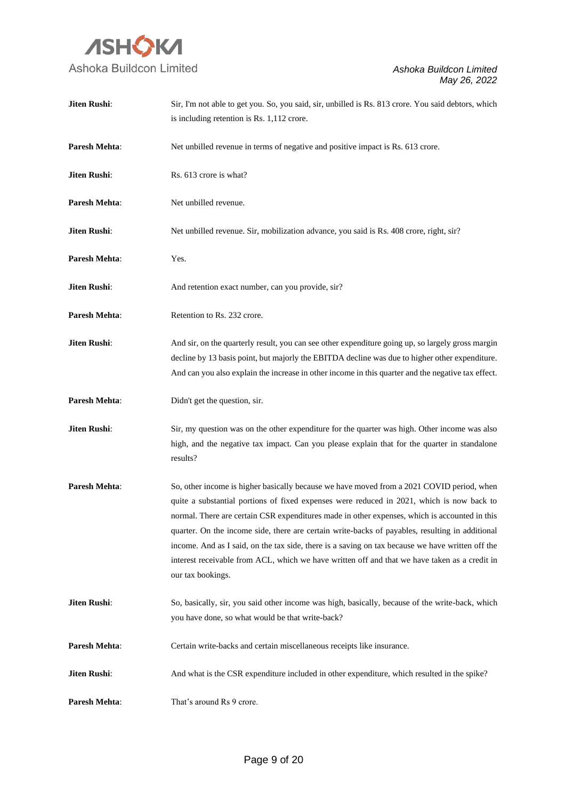

| Jiten Rushi:         | Sir, I'm not able to get you. So, you said, sir, unbilled is Rs. 813 crore. You said debtors, which |
|----------------------|-----------------------------------------------------------------------------------------------------|
|                      | is including retention is Rs. 1,112 crore.                                                          |
|                      |                                                                                                     |
| <b>Paresh Mehta:</b> | Net unbilled revenue in terms of negative and positive impact is Rs. 613 crore.                     |
| Jiten Rushi:         | Rs. 613 crore is what?                                                                              |
|                      |                                                                                                     |
| <b>Paresh Mehta:</b> | Net unbilled revenue.                                                                               |
|                      |                                                                                                     |
| Jiten Rushi:         | Net unbilled revenue. Sir, mobilization advance, you said is Rs. 408 crore, right, sir?             |
| Paresh Mehta:        | Yes.                                                                                                |
|                      |                                                                                                     |
| Jiten Rushi:         | And retention exact number, can you provide, sir?                                                   |
|                      |                                                                                                     |
| Paresh Mehta:        | Retention to Rs. 232 crore.                                                                         |
| <b>Jiten Rushi:</b>  | And sir, on the quarterly result, you can see other expenditure going up, so largely gross margin   |
|                      | decline by 13 basis point, but majorly the EBITDA decline was due to higher other expenditure.      |
|                      | And can you also explain the increase in other income in this quarter and the negative tax effect.  |
|                      |                                                                                                     |
| Paresh Mehta:        | Didn't get the question, sir.                                                                       |
| Jiten Rushi:         | Sir, my question was on the other expenditure for the quarter was high. Other income was also       |
|                      | high, and the negative tax impact. Can you please explain that for the quarter in standalone        |
|                      | results?                                                                                            |
|                      |                                                                                                     |
| <b>Paresh Mehta:</b> | So, other income is higher basically because we have moved from a 2021 COVID period, when           |
|                      | quite a substantial portions of fixed expenses were reduced in 2021, which is now back to           |
|                      | normal. There are certain CSR expenditures made in other expenses, which is accounted in this       |
|                      | quarter. On the income side, there are certain write-backs of payables, resulting in additional     |
|                      | income. And as I said, on the tax side, there is a saving on tax because we have written off the    |
|                      | interest receivable from ACL, which we have written off and that we have taken as a credit in       |
|                      | our tax bookings.                                                                                   |
| Jiten Rushi:         | So, basically, sir, you said other income was high, basically, because of the write-back, which     |
|                      | you have done, so what would be that write-back?                                                    |
|                      |                                                                                                     |
| Paresh Mehta:        | Certain write-backs and certain miscellaneous receipts like insurance.                              |
|                      |                                                                                                     |
| Jiten Rushi:         | And what is the CSR expenditure included in other expenditure, which resulted in the spike?         |
| Paresh Mehta:        | That's around Rs 9 crore.                                                                           |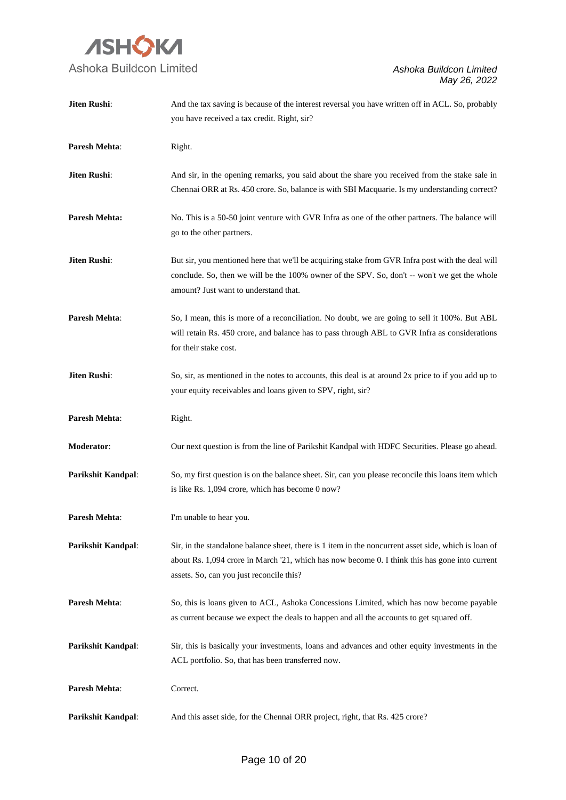

| Jiten Rushi:              | And the tax saving is because of the interest reversal you have written off in ACL. So, probably     |
|---------------------------|------------------------------------------------------------------------------------------------------|
|                           | you have received a tax credit. Right, sir?                                                          |
| Paresh Mehta:             | Right.                                                                                               |
| Jiten Rushi:              | And sir, in the opening remarks, you said about the share you received from the stake sale in        |
|                           | Chennai ORR at Rs. 450 crore. So, balance is with SBI Macquarie. Is my understanding correct?        |
| <b>Paresh Mehta:</b>      | No. This is a 50-50 joint venture with GVR Infra as one of the other partners. The balance will      |
|                           | go to the other partners.                                                                            |
| Jiten Rushi:              | But sir, you mentioned here that we'll be acquiring stake from GVR Infra post with the deal will     |
|                           | conclude. So, then we will be the 100% owner of the SPV. So, don't -- won't we get the whole         |
|                           | amount? Just want to understand that.                                                                |
| <b>Paresh Mehta:</b>      | So, I mean, this is more of a reconciliation. No doubt, we are going to sell it 100%. But ABL        |
|                           | will retain Rs. 450 crore, and balance has to pass through ABL to GVR Infra as considerations        |
|                           | for their stake cost.                                                                                |
| Jiten Rushi:              | So, sir, as mentioned in the notes to accounts, this deal is at around 2x price to if you add up to  |
|                           | your equity receivables and loans given to SPV, right, sir?                                          |
|                           |                                                                                                      |
| Paresh Mehta:             | Right.                                                                                               |
| Moderator:                | Our next question is from the line of Parikshit Kandpal with HDFC Securities. Please go ahead.       |
| Parikshit Kandpal:        | So, my first question is on the balance sheet. Sir, can you please reconcile this loans item which   |
|                           | is like Rs. 1,094 crore, which has become 0 now?                                                     |
| <b>Paresh Mehta:</b>      | I'm unable to hear you.                                                                              |
| <b>Parikshit Kandpal:</b> | Sir, in the standalone balance sheet, there is 1 item in the noncurrent asset side, which is loan of |
|                           | about Rs. 1,094 crore in March '21, which has now become 0. I think this has gone into current       |
|                           | assets. So, can you just reconcile this?                                                             |
| <b>Paresh Mehta:</b>      | So, this is loans given to ACL, Ashoka Concessions Limited, which has now become payable             |
|                           | as current because we expect the deals to happen and all the accounts to get squared off.            |
| <b>Parikshit Kandpal:</b> | Sir, this is basically your investments, loans and advances and other equity investments in the      |
|                           | ACL portfolio. So, that has been transferred now.                                                    |
| <b>Paresh Mehta:</b>      | Correct.                                                                                             |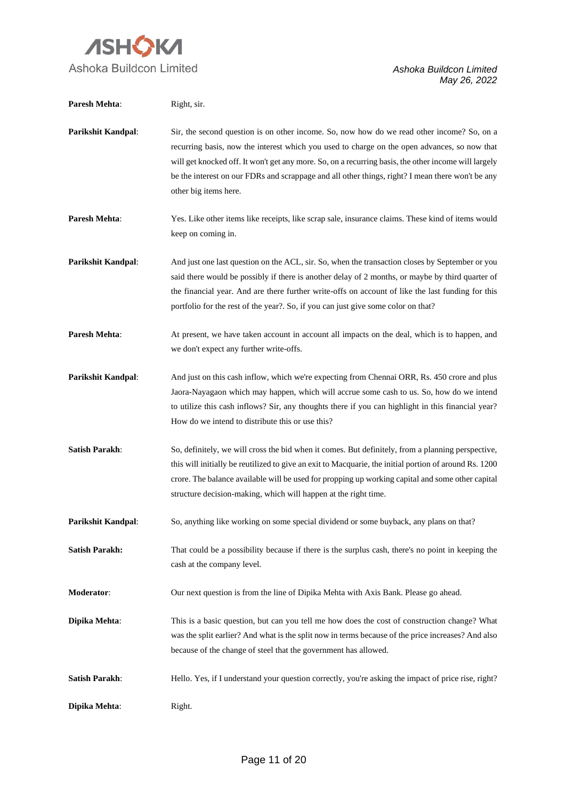

| Paresh Mehta:         | Right, sir.                                                                                                                                                                                                                                                                                                                                                                                                                     |
|-----------------------|---------------------------------------------------------------------------------------------------------------------------------------------------------------------------------------------------------------------------------------------------------------------------------------------------------------------------------------------------------------------------------------------------------------------------------|
| Parikshit Kandpal:    | Sir, the second question is on other income. So, now how do we read other income? So, on a<br>recurring basis, now the interest which you used to charge on the open advances, so now that<br>will get knocked off. It won't get any more. So, on a recurring basis, the other income will largely<br>be the interest on our FDRs and scrappage and all other things, right? I mean there won't be any<br>other big items here. |
| Paresh Mehta:         | Yes. Like other items like receipts, like scrap sale, insurance claims. These kind of items would<br>keep on coming in.                                                                                                                                                                                                                                                                                                         |
| Parikshit Kandpal:    | And just one last question on the ACL, sir. So, when the transaction closes by September or you<br>said there would be possibly if there is another delay of 2 months, or maybe by third quarter of<br>the financial year. And are there further write-offs on account of like the last funding for this<br>portfolio for the rest of the year?. So, if you can just give some color on that?                                   |
| <b>Paresh Mehta:</b>  | At present, we have taken account in account all impacts on the deal, which is to happen, and<br>we don't expect any further write-offs.                                                                                                                                                                                                                                                                                        |
| Parikshit Kandpal:    | And just on this cash inflow, which we're expecting from Chennai ORR, Rs. 450 crore and plus<br>Jaora-Nayagaon which may happen, which will accrue some cash to us. So, how do we intend<br>to utilize this cash inflows? Sir, any thoughts there if you can highlight in this financial year?<br>How do we intend to distribute this or use this?                                                                              |
| <b>Satish Parakh:</b> | So, definitely, we will cross the bid when it comes. But definitely, from a planning perspective,<br>this will initially be reutilized to give an exit to Macquarie, the initial portion of around Rs. 1200<br>crore. The balance available will be used for propping up working capital and some other capital<br>structure decision-making, which will happen at the right time.                                              |
| Parikshit Kandpal:    | So, anything like working on some special dividend or some buyback, any plans on that?                                                                                                                                                                                                                                                                                                                                          |
| <b>Satish Parakh:</b> | That could be a possibility because if there is the surplus cash, there's no point in keeping the<br>cash at the company level.                                                                                                                                                                                                                                                                                                 |
| Moderator:            | Our next question is from the line of Dipika Mehta with Axis Bank. Please go ahead.                                                                                                                                                                                                                                                                                                                                             |
| Dipika Mehta:         | This is a basic question, but can you tell me how does the cost of construction change? What<br>was the split earlier? And what is the split now in terms because of the price increases? And also<br>because of the change of steel that the government has allowed.                                                                                                                                                           |
| <b>Satish Parakh:</b> | Hello. Yes, if I understand your question correctly, you're asking the impact of price rise, right?                                                                                                                                                                                                                                                                                                                             |
| Dipika Mehta:         | Right.                                                                                                                                                                                                                                                                                                                                                                                                                          |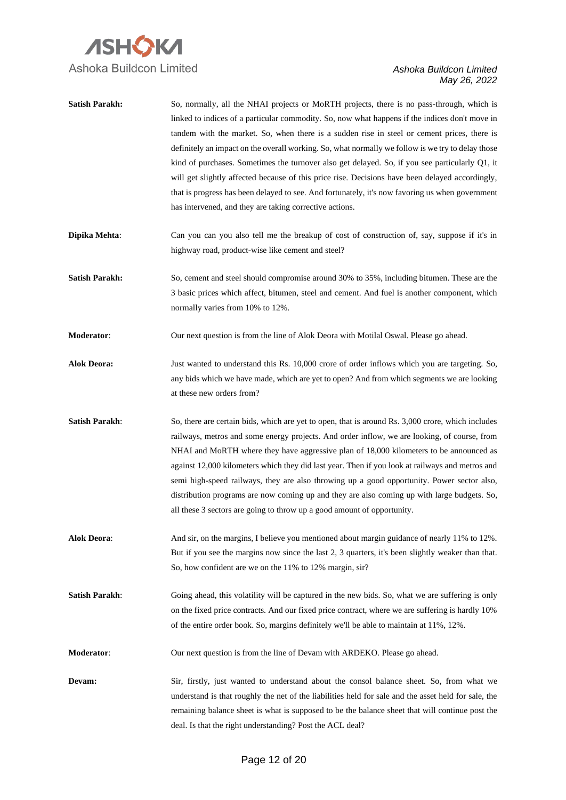

| <b>Satish Parakh:</b> | So, normally, all the NHAI projects or MoRTH projects, there is no pass-through, which is<br>linked to indices of a particular commodity. So, now what happens if the indices don't move in<br>tandem with the market. So, when there is a sudden rise in steel or cement prices, there is<br>definitely an impact on the overall working. So, what normally we follow is we try to delay those<br>kind of purchases. Sometimes the turnover also get delayed. So, if you see particularly Q1, it<br>will get slightly affected because of this price rise. Decisions have been delayed accordingly,<br>that is progress has been delayed to see. And fortunately, it's now favoring us when government<br>has intervened, and they are taking corrective actions. |
|-----------------------|--------------------------------------------------------------------------------------------------------------------------------------------------------------------------------------------------------------------------------------------------------------------------------------------------------------------------------------------------------------------------------------------------------------------------------------------------------------------------------------------------------------------------------------------------------------------------------------------------------------------------------------------------------------------------------------------------------------------------------------------------------------------|
| Dipika Mehta:         | Can you can you also tell me the breakup of cost of construction of, say, suppose if it's in<br>highway road, product-wise like cement and steel?                                                                                                                                                                                                                                                                                                                                                                                                                                                                                                                                                                                                                  |
| <b>Satish Parakh:</b> | So, cement and steel should compromise around 30% to 35%, including bitumen. These are the<br>3 basic prices which affect, bitumen, steel and cement. And fuel is another component, which<br>normally varies from 10% to 12%.                                                                                                                                                                                                                                                                                                                                                                                                                                                                                                                                     |
| Moderator:            | Our next question is from the line of Alok Deora with Motilal Oswal. Please go ahead.                                                                                                                                                                                                                                                                                                                                                                                                                                                                                                                                                                                                                                                                              |
| <b>Alok Deora:</b>    | Just wanted to understand this Rs. 10,000 crore of order inflows which you are targeting. So,<br>any bids which we have made, which are yet to open? And from which segments we are looking<br>at these new orders from?                                                                                                                                                                                                                                                                                                                                                                                                                                                                                                                                           |
| <b>Satish Parakh:</b> | So, there are certain bids, which are yet to open, that is around Rs. 3,000 crore, which includes<br>railways, metros and some energy projects. And order inflow, we are looking, of course, from<br>NHAI and MoRTH where they have aggressive plan of 18,000 kilometers to be announced as<br>against 12,000 kilometers which they did last year. Then if you look at railways and metros and<br>semi high-speed railways, they are also throwing up a good opportunity. Power sector also,<br>distribution programs are now coming up and they are also coming up with large budgets. So,<br>all these 3 sectors are going to throw up a good amount of opportunity.                                                                                             |
| <b>Alok Deora:</b>    | And sir, on the margins, I believe you mentioned about margin guidance of nearly 11% to 12%.<br>But if you see the margins now since the last 2, 3 quarters, it's been slightly weaker than that.<br>So, how confident are we on the 11% to 12% margin, sir?                                                                                                                                                                                                                                                                                                                                                                                                                                                                                                       |
| <b>Satish Parakh:</b> | Going ahead, this volatility will be captured in the new bids. So, what we are suffering is only<br>on the fixed price contracts. And our fixed price contract, where we are suffering is hardly 10%<br>of the entire order book. So, margins definitely we'll be able to maintain at 11%, 12%.                                                                                                                                                                                                                                                                                                                                                                                                                                                                    |
| Moderator:            | Our next question is from the line of Devam with ARDEKO. Please go ahead.                                                                                                                                                                                                                                                                                                                                                                                                                                                                                                                                                                                                                                                                                          |
| Devam:                | Sir, firstly, just wanted to understand about the consol balance sheet. So, from what we<br>understand is that roughly the net of the liabilities held for sale and the asset held for sale, the<br>remaining balance sheet is what is supposed to be the balance sheet that will continue post the<br>deal. Is that the right understanding? Post the ACL deal?                                                                                                                                                                                                                                                                                                                                                                                                   |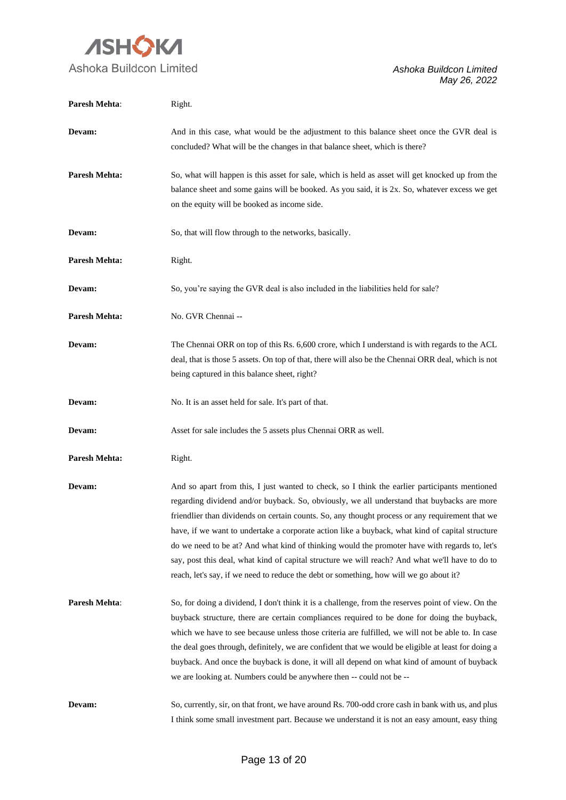

| Paresh Mehta:        | Right.                                                                                                                                                                                                                                                                                                                                                                                                                                                                                                                                                                                                                                                                                          |
|----------------------|-------------------------------------------------------------------------------------------------------------------------------------------------------------------------------------------------------------------------------------------------------------------------------------------------------------------------------------------------------------------------------------------------------------------------------------------------------------------------------------------------------------------------------------------------------------------------------------------------------------------------------------------------------------------------------------------------|
| Devam:               | And in this case, what would be the adjustment to this balance sheet once the GVR deal is<br>concluded? What will be the changes in that balance sheet, which is there?                                                                                                                                                                                                                                                                                                                                                                                                                                                                                                                         |
| <b>Paresh Mehta:</b> | So, what will happen is this asset for sale, which is held as asset will get knocked up from the<br>balance sheet and some gains will be booked. As you said, it is 2x. So, whatever excess we get<br>on the equity will be booked as income side.                                                                                                                                                                                                                                                                                                                                                                                                                                              |
| Devam:               | So, that will flow through to the networks, basically.                                                                                                                                                                                                                                                                                                                                                                                                                                                                                                                                                                                                                                          |
| <b>Paresh Mehta:</b> | Right.                                                                                                                                                                                                                                                                                                                                                                                                                                                                                                                                                                                                                                                                                          |
| Devam:               | So, you're saying the GVR deal is also included in the liabilities held for sale?                                                                                                                                                                                                                                                                                                                                                                                                                                                                                                                                                                                                               |
| <b>Paresh Mehta:</b> | No. GVR Chennai --                                                                                                                                                                                                                                                                                                                                                                                                                                                                                                                                                                                                                                                                              |
| Devam:               | The Chennai ORR on top of this Rs. 6,600 crore, which I understand is with regards to the ACL<br>deal, that is those 5 assets. On top of that, there will also be the Chennai ORR deal, which is not<br>being captured in this balance sheet, right?                                                                                                                                                                                                                                                                                                                                                                                                                                            |
| Devam:               | No. It is an asset held for sale. It's part of that.                                                                                                                                                                                                                                                                                                                                                                                                                                                                                                                                                                                                                                            |
| Devam:               | Asset for sale includes the 5 assets plus Chennai ORR as well.                                                                                                                                                                                                                                                                                                                                                                                                                                                                                                                                                                                                                                  |
| <b>Paresh Mehta:</b> | Right.                                                                                                                                                                                                                                                                                                                                                                                                                                                                                                                                                                                                                                                                                          |
| Devam:               | And so apart from this, I just wanted to check, so I think the earlier participants mentioned<br>regarding dividend and/or buyback. So, obviously, we all understand that buybacks are more<br>friendlier than dividends on certain counts. So, any thought process or any requirement that we<br>have, if we want to undertake a corporate action like a buyback, what kind of capital structure<br>do we need to be at? And what kind of thinking would the promoter have with regards to, let's<br>say, post this deal, what kind of capital structure we will reach? And what we'll have to do to<br>reach, let's say, if we need to reduce the debt or something, how will we go about it? |
| Paresh Mehta:        | So, for doing a dividend, I don't think it is a challenge, from the reserves point of view. On the<br>buyback structure, there are certain compliances required to be done for doing the buyback,<br>which we have to see because unless those criteria are fulfilled, we will not be able to. In case<br>the deal goes through, definitely, we are confident that we would be eligible at least for doing a<br>buyback. And once the buyback is done, it will all depend on what kind of amount of buyback<br>we are looking at. Numbers could be anywhere then -- could not be --                                                                                                             |
| Devam:               | So, currently, sir, on that front, we have around Rs. 700-odd crore cash in bank with us, and plus<br>I think some small investment part. Because we understand it is not an easy amount, easy thing                                                                                                                                                                                                                                                                                                                                                                                                                                                                                            |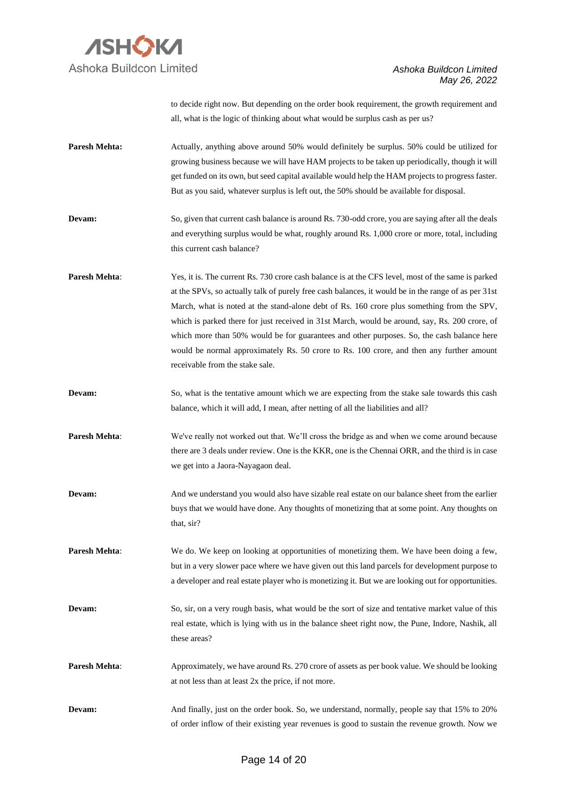

to decide right now. But depending on the order book requirement, the growth requirement and all, what is the logic of thinking about what would be surplus cash as per us?

- **Paresh Mehta:** Actually, anything above around 50% would definitely be surplus. 50% could be utilized for growing business because we will have HAM projects to be taken up periodically, though it will get funded on its own, but seed capital available would help the HAM projects to progress faster. But as you said, whatever surplus is left out, the 50% should be available for disposal.
- **Devam:** So, given that current cash balance is around Rs. 730-odd crore, you are saying after all the deals and everything surplus would be what, roughly around Rs. 1,000 crore or more, total, including this current cash balance?
- **Paresh Mehta:** Yes, it is. The current Rs. 730 crore cash balance is at the CFS level, most of the same is parked at the SPVs, so actually talk of purely free cash balances, it would be in the range of as per 31st March, what is noted at the stand-alone debt of Rs. 160 crore plus something from the SPV, which is parked there for just received in 31st March, would be around, say, Rs. 200 crore, of which more than 50% would be for guarantees and other purposes. So, the cash balance here would be normal approximately Rs. 50 crore to Rs. 100 crore, and then any further amount receivable from the stake sale.
- **Devam:** So, what is the tentative amount which we are expecting from the stake sale towards this cash balance, which it will add, I mean, after netting of all the liabilities and all?
- **Paresh Mehta**: We've really not worked out that. We'll cross the bridge as and when we come around because there are 3 deals under review. One is the KKR, one is the Chennai ORR, and the third is in case we get into a Jaora-Nayagaon deal.
- **Devam:** And we understand you would also have sizable real estate on our balance sheet from the earlier buys that we would have done. Any thoughts of monetizing that at some point. Any thoughts on that, sir?
- **Paresh Mehta:** We do. We keep on looking at opportunities of monetizing them. We have been doing a few, but in a very slower pace where we have given out this land parcels for development purpose to a developer and real estate player who is monetizing it. But we are looking out for opportunities.
- **Devam:** So, sir, on a very rough basis, what would be the sort of size and tentative market value of this real estate, which is lying with us in the balance sheet right now, the Pune, Indore, Nashik, all these areas?
- **Paresh Mehta**: Approximately, we have around Rs. 270 crore of assets as per book value. We should be looking at not less than at least 2x the price, if not more.
- **Devam:** And finally, just on the order book. So, we understand, normally, people say that 15% to 20% of order inflow of their existing year revenues is good to sustain the revenue growth. Now we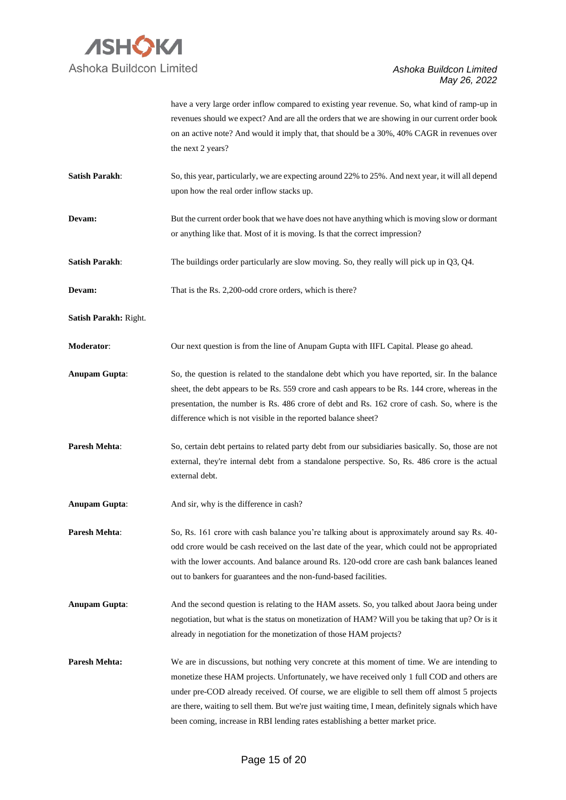

have a very large order inflow compared to existing year revenue. So, what kind of ramp-up in revenues should we expect? And are all the orders that we are showing in our current order book on an active note? And would it imply that, that should be a 30%, 40% CAGR in revenues over the next 2 years?

- **Satish Parakh:** So, this year, particularly, we are expecting around 22% to 25%. And next year, it will all depend upon how the real order inflow stacks up.
- **Devam:** But the current order book that we have does not have anything which is moving slow or dormant or anything like that. Most of it is moving. Is that the correct impression?
- **Satish Parakh:** The buildings order particularly are slow moving. So, they really will pick up in Q3, Q4.
- **Devam:** That is the Rs. 2,200-odd crore orders, which is there?
- **Satish Parakh:** Right.
- **Moderator**: Our next question is from the line of Anupam Gupta with IIFL Capital. Please go ahead.
- **Anupam Gupta**: So, the question is related to the standalone debt which you have reported, sir. In the balance sheet, the debt appears to be Rs. 559 crore and cash appears to be Rs. 144 crore, whereas in the presentation, the number is Rs. 486 crore of debt and Rs. 162 crore of cash. So, where is the difference which is not visible in the reported balance sheet?
- **Paresh Mehta**: So, certain debt pertains to related party debt from our subsidiaries basically. So, those are not external, they're internal debt from a standalone perspective. So, Rs. 486 crore is the actual external debt.
- **Anupam Gupta**: And sir, why is the difference in cash?

**Paresh Mehta**: So, Rs. 161 crore with cash balance you're talking about is approximately around say Rs. 40odd crore would be cash received on the last date of the year, which could not be appropriated with the lower accounts. And balance around Rs. 120-odd crore are cash bank balances leaned out to bankers for guarantees and the non-fund-based facilities.

- **Anupam Gupta**: And the second question is relating to the HAM assets. So, you talked about Jaora being under negotiation, but what is the status on monetization of HAM? Will you be taking that up? Or is it already in negotiation for the monetization of those HAM projects?
- **Paresh Mehta:** We are in discussions, but nothing very concrete at this moment of time. We are intending to monetize these HAM projects. Unfortunately, we have received only 1 full COD and others are under pre-COD already received. Of course, we are eligible to sell them off almost 5 projects are there, waiting to sell them. But we're just waiting time, I mean, definitely signals which have been coming, increase in RBI lending rates establishing a better market price.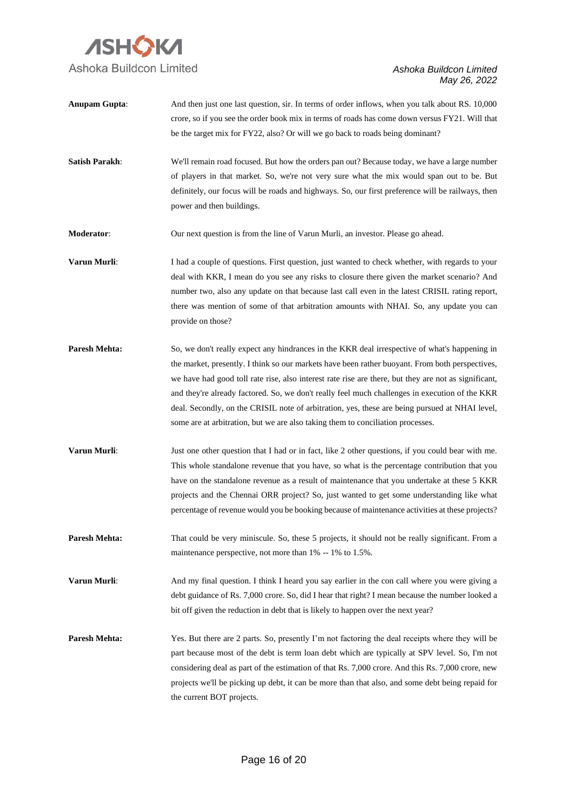

- **Anupam Gupta:** And then just one last question, sir. In terms of order inflows, when you talk about RS. 10,000 crore, so if you see the order book mix in terms of roads has come down versus FY21. Will that be the target mix for FY22, also? Or will we go back to roads being dominant?
- **Satish Parakh**: We'll remain road focused. But how the orders pan out? Because today, we have a large number of players in that market. So, we're not very sure what the mix would span out to be. But definitely, our focus will be roads and highways. So, our first preference will be railways, then power and then buildings.
- **Moderator:** Our next question is from the line of Varun Murli, an investor. Please go ahead.
- **Varun Murli:** I had a couple of questions. First question, just wanted to check whether, with regards to your deal with KKR, I mean do you see any risks to closure there given the market scenario? And number two, also any update on that because last call even in the latest CRISIL rating report, there was mention of some of that arbitration amounts with NHAI. So, any update you can provide on those?
- **Paresh Mehta:** So, we don't really expect any hindrances in the KKR deal irrespective of what's happening in the market, presently. I think so our markets have been rather buoyant. From both perspectives, we have had good toll rate rise, also interest rate rise are there, but they are not as significant, and they're already factored. So, we don't really feel much challenges in execution of the KKR deal. Secondly, on the CRISIL note of arbitration, yes, these are being pursued at NHAI level, some are at arbitration, but we are also taking them to conciliation processes.
- **Varun Murli:** Just one other question that I had or in fact, like 2 other questions, if you could bear with me. This whole standalone revenue that you have, so what is the percentage contribution that you have on the standalone revenue as a result of maintenance that you undertake at these 5 KKR projects and the Chennai ORR project? So, just wanted to get some understanding like what percentage of revenue would you be booking because of maintenance activities at these projects?
- **Paresh Mehta:** That could be very miniscule. So, these 5 projects, it should not be really significant. From a maintenance perspective, not more than 1% -- 1% to 1.5%.
- **Varun Murli:** And my final question. I think I heard you say earlier in the con call where you were giving a debt guidance of Rs. 7,000 crore. So, did I hear that right? I mean because the number looked a bit off given the reduction in debt that is likely to happen over the next year?
- Paresh Mehta: Yes. But there are 2 parts. So, presently I'm not factoring the deal receipts where they will be part because most of the debt is term loan debt which are typically at SPV level. So, I'm not considering deal as part of the estimation of that Rs. 7,000 crore. And this Rs. 7,000 crore, new projects we'll be picking up debt, it can be more than that also, and some debt being repaid for the current BOT projects.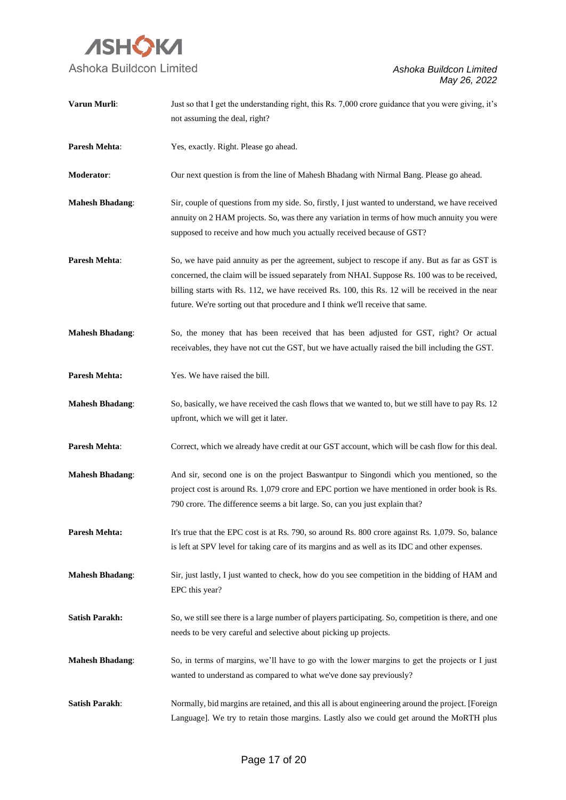

| Varun Murli:           | Just so that I get the understanding right, this Rs. 7,000 crore guidance that you were giving, it's                                                                                                                                                                                                                                                                                |
|------------------------|-------------------------------------------------------------------------------------------------------------------------------------------------------------------------------------------------------------------------------------------------------------------------------------------------------------------------------------------------------------------------------------|
|                        | not assuming the deal, right?                                                                                                                                                                                                                                                                                                                                                       |
| Paresh Mehta:          | Yes, exactly. Right. Please go ahead.                                                                                                                                                                                                                                                                                                                                               |
| Moderator:             | Our next question is from the line of Mahesh Bhadang with Nirmal Bang. Please go ahead.                                                                                                                                                                                                                                                                                             |
| <b>Mahesh Bhadang:</b> | Sir, couple of questions from my side. So, firstly, I just wanted to understand, we have received<br>annuity on 2 HAM projects. So, was there any variation in terms of how much annuity you were<br>supposed to receive and how much you actually received because of GST?                                                                                                         |
| Paresh Mehta:          | So, we have paid annuity as per the agreement, subject to rescope if any. But as far as GST is<br>concerned, the claim will be issued separately from NHAI. Suppose Rs. 100 was to be received,<br>billing starts with Rs. 112, we have received Rs. 100, this Rs. 12 will be received in the near<br>future. We're sorting out that procedure and I think we'll receive that same. |
| <b>Mahesh Bhadang:</b> | So, the money that has been received that has been adjusted for GST, right? Or actual<br>receivables, they have not cut the GST, but we have actually raised the bill including the GST.                                                                                                                                                                                            |
| <b>Paresh Mehta:</b>   | Yes. We have raised the bill.                                                                                                                                                                                                                                                                                                                                                       |
| <b>Mahesh Bhadang:</b> | So, basically, we have received the cash flows that we wanted to, but we still have to pay Rs. 12<br>upfront, which we will get it later.                                                                                                                                                                                                                                           |
| Paresh Mehta:          | Correct, which we already have credit at our GST account, which will be cash flow for this deal.                                                                                                                                                                                                                                                                                    |
| <b>Mahesh Bhadang:</b> | And sir, second one is on the project Baswantpur to Singondi which you mentioned, so the<br>project cost is around Rs. 1,079 crore and EPC portion we have mentioned in order book is Rs.<br>790 crore. The difference seems a bit large. So, can you just explain that?                                                                                                            |
| Paresh Mehta:          | It's true that the EPC cost is at Rs. 790, so around Rs. 800 crore against Rs. 1,079. So, balance<br>is left at SPV level for taking care of its margins and as well as its IDC and other expenses.                                                                                                                                                                                 |
| <b>Mahesh Bhadang:</b> | Sir, just lastly, I just wanted to check, how do you see competition in the bidding of HAM and<br>EPC this year?                                                                                                                                                                                                                                                                    |
| <b>Satish Parakh:</b>  | So, we still see there is a large number of players participating. So, competition is there, and one<br>needs to be very careful and selective about picking up projects.                                                                                                                                                                                                           |
| <b>Mahesh Bhadang:</b> | So, in terms of margins, we'll have to go with the lower margins to get the projects or I just<br>wanted to understand as compared to what we've done say previously?                                                                                                                                                                                                               |
| <b>Satish Parakh:</b>  | Normally, bid margins are retained, and this all is about engineering around the project. [Foreign]<br>Language]. We try to retain those margins. Lastly also we could get around the MoRTH plus                                                                                                                                                                                    |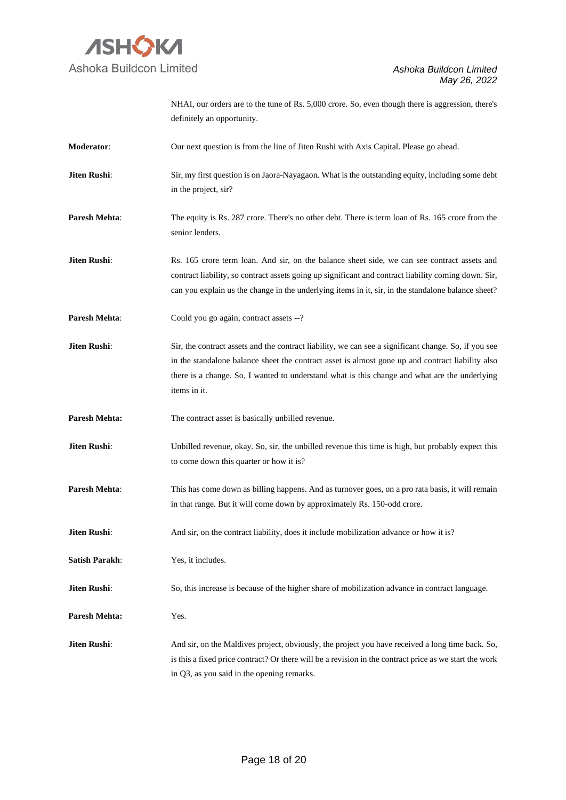

|                       | NHAI, our orders are to the tune of Rs. 5,000 crore. So, even though there is aggression, there's<br>definitely an opportunity.                                                                                                                                                                                           |
|-----------------------|---------------------------------------------------------------------------------------------------------------------------------------------------------------------------------------------------------------------------------------------------------------------------------------------------------------------------|
| Moderator:            | Our next question is from the line of Jiten Rushi with Axis Capital. Please go ahead.                                                                                                                                                                                                                                     |
| Jiten Rushi:          | Sir, my first question is on Jaora-Nayagaon. What is the outstanding equity, including some debt<br>in the project, sir?                                                                                                                                                                                                  |
| Paresh Mehta:         | The equity is Rs. 287 crore. There's no other debt. There is term loan of Rs. 165 crore from the<br>senior lenders.                                                                                                                                                                                                       |
| Jiten Rushi:          | Rs. 165 crore term loan. And sir, on the balance sheet side, we can see contract assets and<br>contract liability, so contract assets going up significant and contract liability coming down. Sir,<br>can you explain us the change in the underlying items in it, sir, in the standalone balance sheet?                 |
| Paresh Mehta:         | Could you go again, contract assets --?                                                                                                                                                                                                                                                                                   |
| Jiten Rushi:          | Sir, the contract assets and the contract liability, we can see a significant change. So, if you see<br>in the standalone balance sheet the contract asset is almost gone up and contract liability also<br>there is a change. So, I wanted to understand what is this change and what are the underlying<br>items in it. |
| <b>Paresh Mehta:</b>  | The contract asset is basically unbilled revenue.                                                                                                                                                                                                                                                                         |
| Jiten Rushi:          | Unbilled revenue, okay. So, sir, the unbilled revenue this time is high, but probably expect this<br>to come down this quarter or how it is?                                                                                                                                                                              |
| Paresh Mehta:         | This has come down as billing happens. And as turnover goes, on a pro rata basis, it will remain<br>in that range. But it will come down by approximately Rs. 150-odd crore.                                                                                                                                              |
| Jiten Rushi:          | And sir, on the contract liability, does it include mobilization advance or how it is?                                                                                                                                                                                                                                    |
| <b>Satish Parakh:</b> | Yes, it includes.                                                                                                                                                                                                                                                                                                         |
| Jiten Rushi:          | So, this increase is because of the higher share of mobilization advance in contract language.                                                                                                                                                                                                                            |
| <b>Paresh Mehta:</b>  | Yes.                                                                                                                                                                                                                                                                                                                      |
| Jiten Rushi:          | And sir, on the Maldives project, obviously, the project you have received a long time back. So,<br>is this a fixed price contract? Or there will be a revision in the contract price as we start the work<br>in Q3, as you said in the opening remarks.                                                                  |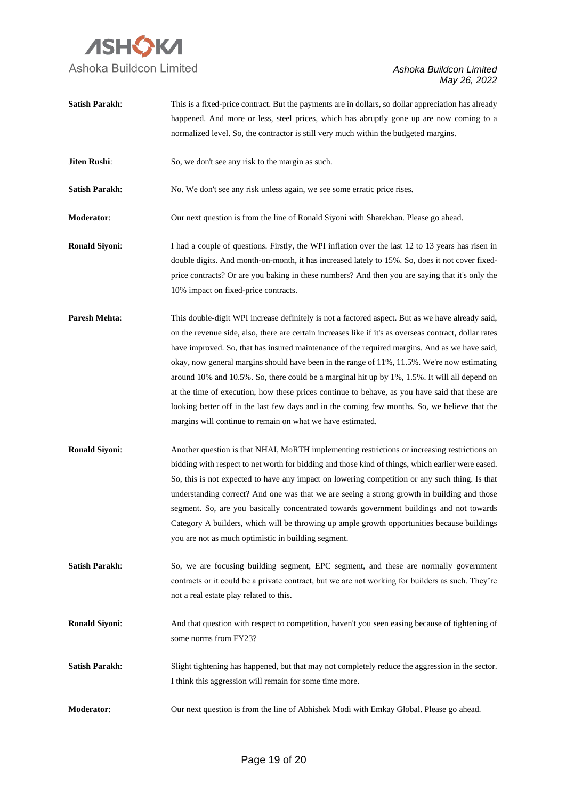

| <b>Satish Parakh:</b> | This is a fixed-price contract. But the payments are in dollars, so dollar appreciation has already<br>happened. And more or less, steel prices, which has abruptly gone up are now coming to a                                                                                                                                                                                                                                                                                                                                                                                                                                                                                                                                                                              |
|-----------------------|------------------------------------------------------------------------------------------------------------------------------------------------------------------------------------------------------------------------------------------------------------------------------------------------------------------------------------------------------------------------------------------------------------------------------------------------------------------------------------------------------------------------------------------------------------------------------------------------------------------------------------------------------------------------------------------------------------------------------------------------------------------------------|
|                       | normalized level. So, the contractor is still very much within the budgeted margins.                                                                                                                                                                                                                                                                                                                                                                                                                                                                                                                                                                                                                                                                                         |
| Jiten Rushi:          | So, we don't see any risk to the margin as such.                                                                                                                                                                                                                                                                                                                                                                                                                                                                                                                                                                                                                                                                                                                             |
| <b>Satish Parakh:</b> | No. We don't see any risk unless again, we see some erratic price rises.                                                                                                                                                                                                                                                                                                                                                                                                                                                                                                                                                                                                                                                                                                     |
| Moderator:            | Our next question is from the line of Ronald Siyoni with Sharekhan. Please go ahead.                                                                                                                                                                                                                                                                                                                                                                                                                                                                                                                                                                                                                                                                                         |
| <b>Ronald Siyoni:</b> | I had a couple of questions. Firstly, the WPI inflation over the last 12 to 13 years has risen in<br>double digits. And month-on-month, it has increased lately to 15%. So, does it not cover fixed-<br>price contracts? Or are you baking in these numbers? And then you are saying that it's only the<br>10% impact on fixed-price contracts.                                                                                                                                                                                                                                                                                                                                                                                                                              |
| Paresh Mehta:         | This double-digit WPI increase definitely is not a factored aspect. But as we have already said,<br>on the revenue side, also, there are certain increases like if it's as overseas contract, dollar rates<br>have improved. So, that has insured maintenance of the required margins. And as we have said,<br>okay, now general margins should have been in the range of 11%, 11.5%. We're now estimating<br>around 10% and 10.5%. So, there could be a marginal hit up by 1%, 1.5%. It will all depend on<br>at the time of execution, how these prices continue to behave, as you have said that these are<br>looking better off in the last few days and in the coming few months. So, we believe that the<br>margins will continue to remain on what we have estimated. |
| <b>Ronald Siyoni:</b> | Another question is that NHAI, MoRTH implementing restrictions or increasing restrictions on<br>bidding with respect to net worth for bidding and those kind of things, which earlier were eased.<br>So, this is not expected to have any impact on lowering competition or any such thing. Is that<br>understanding correct? And one was that we are seeing a strong growth in building and those<br>segment. So, are you basically concentrated towards government buildings and not towards<br>Category A builders, which will be throwing up ample growth opportunities because buildings<br>you are not as much optimistic in building segment.                                                                                                                         |
| <b>Satish Parakh:</b> | So, we are focusing building segment, EPC segment, and these are normally government<br>contracts or it could be a private contract, but we are not working for builders as such. They're<br>not a real estate play related to this.                                                                                                                                                                                                                                                                                                                                                                                                                                                                                                                                         |
| <b>Ronald Siyoni:</b> | And that question with respect to competition, haven't you seen easing because of tightening of<br>some norms from FY23?                                                                                                                                                                                                                                                                                                                                                                                                                                                                                                                                                                                                                                                     |
| <b>Satish Parakh:</b> | Slight tightening has happened, but that may not completely reduce the aggression in the sector.<br>I think this aggression will remain for some time more.                                                                                                                                                                                                                                                                                                                                                                                                                                                                                                                                                                                                                  |
| Moderator:            | Our next question is from the line of Abhishek Modi with Emkay Global. Please go ahead.                                                                                                                                                                                                                                                                                                                                                                                                                                                                                                                                                                                                                                                                                      |